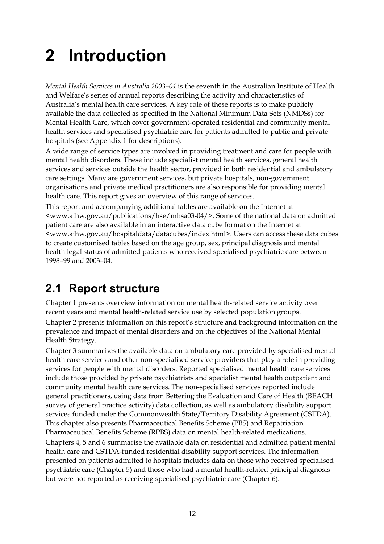# **2 Introduction**

*Mental Health Services in Australia 2003–04* is the seventh in the Australian Institute of Health and Welfare's series of annual reports describing the activity and characteristics of Australia's mental health care services. A key role of these reports is to make publicly available the data collected as specified in the National Minimum Data Sets (NMDSs) for Mental Health Care, which cover government-operated residential and community mental health services and specialised psychiatric care for patients admitted to public and private hospitals (see Appendix 1 for descriptions).

A wide range of service types are involved in providing treatment and care for people with mental health disorders. These include specialist mental health services, general health services and services outside the health sector, provided in both residential and ambulatory care settings. Many are government services, but private hospitals, non-government organisations and private medical practitioners are also responsible for providing mental health care. This report gives an overview of this range of services.

This report and accompanying additional tables are available on the Internet at <www.aihw.gov.au/publications/hse/mhsa03-04/>. Some of the national data on admitted patient care are also available in an interactive data cube format on the Internet at <www.aihw.gov.au/hospitaldata/datacubes/index.html>. Users can access these data cubes to create customised tables based on the age group, sex, principal diagnosis and mental health legal status of admitted patients who received specialised psychiatric care between 1998–99 and 2003–04.

## **2.1 Report structure**

Chapter 1 presents overview information on mental health-related service activity over recent years and mental health-related service use by selected population groups. Chapter 2 presents information on this report's structure and background information on the prevalence and impact of mental disorders and on the objectives of the National Mental Health Strategy.

Chapter 3 summarises the available data on ambulatory care provided by specialised mental health care services and other non-specialised service providers that play a role in providing services for people with mental disorders. Reported specialised mental health care services include those provided by private psychiatrists and specialist mental health outpatient and community mental health care services. The non-specialised services reported include general practitioners, using data from Bettering the Evaluation and Care of Health (BEACH survey of general practice activity) data collection, as well as ambulatory disability support services funded under the Commonwealth State/Territory Disability Agreement (CSTDA). This chapter also presents Pharmaceutical Benefits Scheme (PBS) and Repatriation Pharmaceutical Benefits Scheme (RPBS) data on mental health-related medications. Chapters 4, 5 and 6 summarise the available data on residential and admitted patient mental health care and CSTDA-funded residential disability support services. The information presented on patients admitted to hospitals includes data on those who received specialised psychiatric care (Chapter 5) and those who had a mental health-related principal diagnosis but were not reported as receiving specialised psychiatric care (Chapter 6).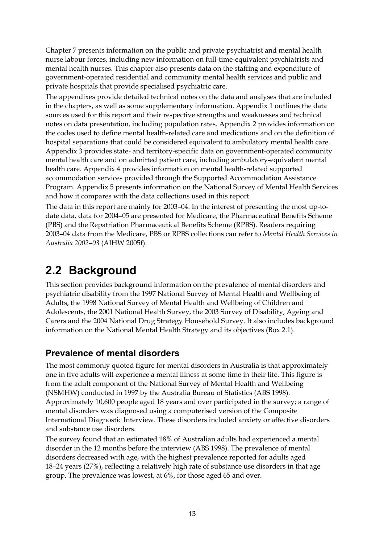Chapter 7 presents information on the public and private psychiatrist and mental health nurse labour forces, including new information on full-time-equivalent psychiatrists and mental health nurses. This chapter also presents data on the staffing and expenditure of government-operated residential and community mental health services and public and private hospitals that provide specialised psychiatric care.

The appendixes provide detailed technical notes on the data and analyses that are included in the chapters, as well as some supplementary information. Appendix 1 outlines the data sources used for this report and their respective strengths and weaknesses and technical notes on data presentation, including population rates. Appendix 2 provides information on the codes used to define mental health-related care and medications and on the definition of hospital separations that could be considered equivalent to ambulatory mental health care. Appendix 3 provides state- and territory-specific data on government-operated community mental health care and on admitted patient care, including ambulatory-equivalent mental health care. Appendix 4 provides information on mental health-related supported accommodation services provided through the Supported Accommodation Assistance Program. Appendix 5 presents information on the National Survey of Mental Health Services and how it compares with the data collections used in this report.

The data in this report are mainly for 2003–04. In the interest of presenting the most up-todate data, data for 2004–05 are presented for Medicare, the Pharmaceutical Benefits Scheme (PBS) and the Repatriation Pharmaceutical Benefits Scheme (RPBS). Readers requiring 2003–04 data from the Medicare, PBS or RPBS collections can refer to *Mental Health Services in Australia 2002–03* (AIHW 2005f).

# **2.2 Background**

This section provides background information on the prevalence of mental disorders and psychiatric disability from the 1997 National Survey of Mental Health and Wellbeing of Adults, the 1998 National Survey of Mental Health and Wellbeing of Children and Adolescents, the 2001 National Health Survey, the 2003 Survey of Disability, Ageing and Carers and the 2004 National Drug Strategy Household Survey. It also includes background information on the National Mental Health Strategy and its objectives (Box 2.1).

### **Prevalence of mental disorders**

The most commonly quoted figure for mental disorders in Australia is that approximately one in five adults will experience a mental illness at some time in their life. This figure is from the adult component of the National Survey of Mental Health and Wellbeing (NSMHW) conducted in 1997 by the Australia Bureau of Statistics (ABS 1998). Approximately 10,600 people aged 18 years and over participated in the survey; a range of mental disorders was diagnosed using a computerised version of the Composite International Diagnostic Interview. These disorders included anxiety or affective disorders and substance use disorders.

The survey found that an estimated 18% of Australian adults had experienced a mental disorder in the 12 months before the interview (ABS 1998). The prevalence of mental disorders decreased with age, with the highest prevalence reported for adults aged 18–24 years (27%), reflecting a relatively high rate of substance use disorders in that age group. The prevalence was lowest, at 6%, for those aged 65 and over.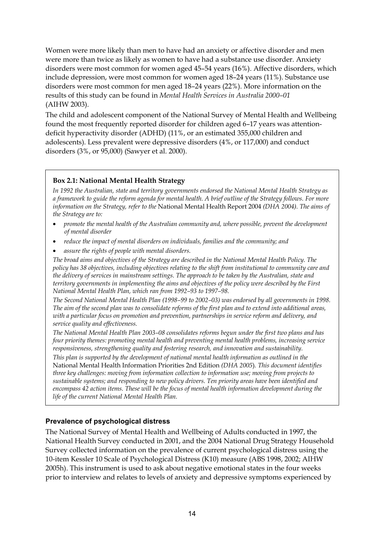Women were more likely than men to have had an anxiety or affective disorder and men were more than twice as likely as women to have had a substance use disorder. Anxiety disorders were most common for women aged 45–54 years (16%). Affective disorders, which include depression, were most common for women aged 18–24 years (11%). Substance use disorders were most common for men aged 18–24 years (22%). More information on the results of this study can be found in *Mental Health Services in Australia 2000–01* (AIHW 2003).

The child and adolescent component of the National Survey of Mental Health and Wellbeing found the most frequently reported disorder for children aged 6–17 years was attentiondeficit hyperactivity disorder (ADHD) (11%, or an estimated 355,000 children and adolescents). Less prevalent were depressive disorders (4%, or 117,000) and conduct disorders (3%, or 95,000) (Sawyer et al. 2000).

#### **Box 2.1: National Mental Health Strategy**

*In 1992 the Australian, state and territory governments endorsed the National Mental Health Strategy as a framework to guide the reform agenda for mental health. A brief outline of the Strategy follows. For more information on the Strategy, refer to the* National Mental Health Report 2004 *(DHA 2004). The aims of the Strategy are to:* 

- *promote the mental health of the Australian community and, where possible, prevent the development of mental disorder*
- *reduce the impact of mental disorders on individuals, families and the community; and*
- *assure the rights of people with mental disorders.*

*The broad aims and objectives of the Strategy are described in the National Mental Health Policy. The policy has 38 objectives, including objectives relating to the shift from institutional to community care and the delivery of services in mainstream settings. The approach to be taken by the Australian, state and territory governments in implementing the aims and objectives of the policy were described by the First National Mental Health Plan, which ran from 1992–93 to 1997–98.* 

*The Second National Mental Health Plan (1998–99 to 2002–03) was endorsed by all governments in 1998. The aim of the second plan was to consolidate reforms of the first plan and to extend into additional areas, with a particular focus on promotion and prevention, partnerships in service reform and delivery, and service quality and effectiveness.* 

*The National Mental Health Plan 2003–08 consolidates reforms begun under the first two plans and has four priority themes: promoting mental health and preventing mental health problems, increasing service responsiveness, strengthening quality and fostering research, and innovation and sustainability.* 

*This plan is supported by the development of national mental health information as outlined in the*  National Mental Health Information Priorities 2nd Edition *(DHA 2005*)*. This document identifies three key challenges: moving from information collection to information use; moving from projects to sustainable systems; and responding to new policy drivers. Ten priority areas have been identified and encompass 42 action items. These will be the focus of mental health information development during the life of the current National Mental Health Plan.* 

#### **Prevalence of psychological distress**

The National Survey of Mental Health and Wellbeing of Adults conducted in 1997, the National Health Survey conducted in 2001, and the 2004 National Drug Strategy Household Survey collected information on the prevalence of current psychological distress using the 10-item Kessler 10 Scale of Psychological Distress (K10) measure (ABS 1998, 2002; AIHW 2005h). This instrument is used to ask about negative emotional states in the four weeks prior to interview and relates to levels of anxiety and depressive symptoms experienced by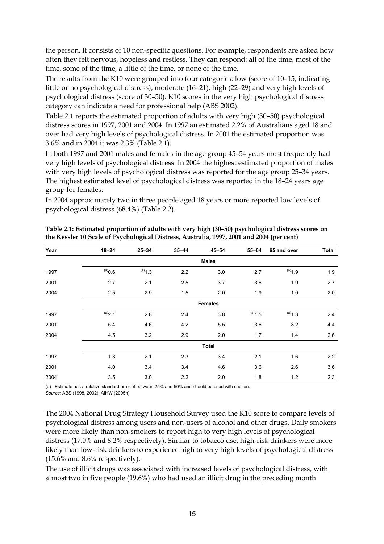the person. It consists of 10 non-specific questions. For example, respondents are asked how often they felt nervous, hopeless and restless. They can respond: all of the time, most of the time, some of the time, a little of the time, or none of the time.

The results from the K10 were grouped into four categories: low (score of 10–15, indicating little or no psychological distress), moderate (16–21), high (22–29) and very high levels of psychological distress (score of 30–50). K10 scores in the very high psychological distress category can indicate a need for professional help (ABS 2002).

Table 2.1 reports the estimated proportion of adults with very high (30–50) psychological distress scores in 1997, 2001 and 2004. In 1997 an estimated 2.2% of Australians aged 18 and over had very high levels of psychological distress. In 2001 the estimated proportion was 3.6% and in 2004 it was 2.3% (Table 2.1).

In both 1997 and 2001 males and females in the age group 45–54 years most frequently had very high levels of psychological distress. In 2004 the highest estimated proportion of males with very high levels of psychological distress was reported for the age group 25–34 years. The highest estimated level of psychological distress was reported in the 18–24 years age group for females.

In 2004 approximately two in three people aged 18 years or more reported low levels of psychological distress (68.4%) (Table 2.2).

| Year | $18 - 24$     | $25 - 34$      | $35 - 44$ | $45 - 54$ | 55-64     | 65 and over | <b>Total</b> |  |  |  |
|------|---------------|----------------|-----------|-----------|-----------|-------------|--------------|--|--|--|
|      | <b>Males</b>  |                |           |           |           |             |              |  |  |  |
| 1997 | $(0.6^{(a)})$ | $(a)$ 1.3      | 2.2       | 3.0       | 2.7       | $(a)$ 1.9   | 1.9          |  |  |  |
| 2001 | 2.7           | 2.1            | 2.5       | 3.7       | 3.6       | 1.9         | 2.7          |  |  |  |
| 2004 | 2.5           | 2.9            | 1.5       | 2.0       | 1.9       | 1.0         | 2.0          |  |  |  |
|      |               | <b>Females</b> |           |           |           |             |              |  |  |  |
| 1997 | (a)2.1        | 2.8            | 2.4       | 3.8       | $(a)$ 1.5 | $(a)$ 1.3   | 2.4          |  |  |  |
| 2001 | 5.4           | 4.6            | 4.2       | 5.5       | 3.6       | 3.2         | 4.4          |  |  |  |
| 2004 | 4.5           | 3.2            | 2.9       | 2.0       | 1.7       | 1.4         | 2.6          |  |  |  |
|      |               |                |           | Total     |           |             |              |  |  |  |
| 1997 | 1.3           | 2.1            | 2.3       | 3.4       | 2.1       | 1.6         | 2.2          |  |  |  |
| 2001 | 4.0           | 3.4            | 3.4       | 4.6       | 3.6       | 2.6         | 3.6          |  |  |  |
| 2004 | 3.5           | 3.0            | 2.2       | 2.0       | 1.8       | 1.2         | 2.3          |  |  |  |

**Table 2.1: Estimated proportion of adults with very high (30–50) psychological distress scores on the Kessler 10 Scale of Psychological Distress, Australia, 1997, 2001 and 2004 (per cent)** 

(a) Estimate has a relative standard error of between 25% and 50% and should be used with caution.

*Source:* ABS (1998, 2002), AIHW (2005h).

The 2004 National Drug Strategy Household Survey used the K10 score to compare levels of psychological distress among users and non-users of alcohol and other drugs. Daily smokers were more likely than non-smokers to report high to very high levels of psychological distress (17.0% and 8.2% respectively). Similar to tobacco use, high-risk drinkers were more likely than low-risk drinkers to experience high to very high levels of psychological distress (15.6% and 8.6% respectively).

The use of illicit drugs was associated with increased levels of psychological distress, with almost two in five people (19.6%) who had used an illicit drug in the preceding month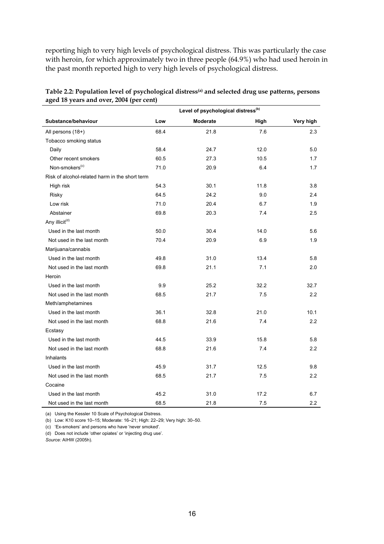reporting high to very high levels of psychological distress. This was particularly the case with heroin, for which approximately two in three people (64.9%) who had used heroin in the past month reported high to very high levels of psychological distress.

| Table 2.2: Population level of psychological distress <sup>(a)</sup> and selected drug use patterns, persons |
|--------------------------------------------------------------------------------------------------------------|
| aged 18 years and over, 2004 (per cent)                                                                      |

|                                                | Level of psychological distress <sup>(b)</sup> |                 |      |           |  |
|------------------------------------------------|------------------------------------------------|-----------------|------|-----------|--|
| Substance/behaviour                            | Low                                            | <b>Moderate</b> | High | Very high |  |
| All persons (18+)                              | 68.4                                           | 21.8            | 7.6  | 2.3       |  |
| Tobacco smoking status                         |                                                |                 |      |           |  |
| Daily                                          | 58.4                                           | 24.7            | 12.0 | 5.0       |  |
| Other recent smokers                           | 60.5                                           | 27.3            | 10.5 | 1.7       |  |
| Non-smokers <sup>(c)</sup>                     | 71.0                                           | 20.9            | 6.4  | 1.7       |  |
| Risk of alcohol-related harm in the short term |                                                |                 |      |           |  |
| High risk                                      | 54.3                                           | 30.1            | 11.8 | 3.8       |  |
| Risky                                          | 64.5                                           | 24.2            | 9.0  | 2.4       |  |
| Low risk                                       | 71.0                                           | 20.4            | 6.7  | 1.9       |  |
| Abstainer                                      | 69.8                                           | 20.3            | 7.4  | 2.5       |  |
| Any illicit <sup>(d)</sup>                     |                                                |                 |      |           |  |
| Used in the last month                         | 50.0                                           | 30.4            | 14.0 | 5.6       |  |
| Not used in the last month                     | 70.4                                           | 20.9            | 6.9  | 1.9       |  |
| Marijuana/cannabis                             |                                                |                 |      |           |  |
| Used in the last month                         | 49.8                                           | 31.0            | 13.4 | 5.8       |  |
| Not used in the last month                     | 69.8                                           | 21.1            | 7.1  | 2.0       |  |
| Heroin                                         |                                                |                 |      |           |  |
| Used in the last month                         | 9.9                                            | 25.2            | 32.2 | 32.7      |  |
| Not used in the last month                     | 68.5                                           | 21.7            | 7.5  | 2.2       |  |
| Meth/amphetamines                              |                                                |                 |      |           |  |
| Used in the last month                         | 36.1                                           | 32.8            | 21.0 | 10.1      |  |
| Not used in the last month                     | 68.8                                           | 21.6            | 7.4  | 2.2       |  |
| Ecstasy                                        |                                                |                 |      |           |  |
| Used in the last month                         | 44.5                                           | 33.9            | 15.8 | 5.8       |  |
| Not used in the last month                     | 68.8                                           | 21.6            | 7.4  | 2.2       |  |
| Inhalants                                      |                                                |                 |      |           |  |
| Used in the last month                         | 45.9                                           | 31.7            | 12.5 | 9.8       |  |
| Not used in the last month                     | 68.5                                           | 21.7            | 7.5  | 2.2       |  |
| Cocaine                                        |                                                |                 |      |           |  |
| Used in the last month                         | 45.2                                           | 31.0            | 17.2 | 6.7       |  |
| Not used in the last month                     | 68.5                                           | 21.8            | 7.5  | 2.2       |  |

(a) Using the Kessler 10 Scale of Psychological Distress.

(b) Low: K10 score 10–15; Moderate: 16–21; High: 22–29; Very high: 30–50.

(c) 'Ex-smokers' and persons who have 'never smoked'.

(d) Does not include 'other opiates' or 'injecting drug use'.

*Source:* AIHW (2005h).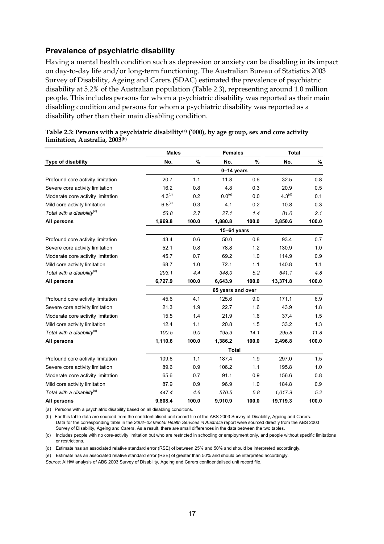#### **Prevalence of psychiatric disability**

Having a mental health condition such as depression or anxiety can be disabling in its impact on day-to-day life and/or long-term functioning. The Australian Bureau of Statistics 2003 Survey of Disability, Ageing and Carers (SDAC) estimated the prevalence of psychiatric disability at 5.2% of the Australian population (Table 2.3), representing around 1.0 million people. This includes persons for whom a psychiatric disability was reported as their main disabling condition and persons for whom a psychiatric disability was reported as a disability other than their main disabling condition.

|                                        | <b>Males</b> |       | <b>Females</b>     |       | <b>Total</b>       |       |  |  |
|----------------------------------------|--------------|-------|--------------------|-------|--------------------|-------|--|--|
| Type of disability                     | No.          | $\%$  | No.                | %     | No.                | $\%$  |  |  |
|                                        |              |       | 0-14 years         |       |                    |       |  |  |
| Profound core activity limitation      | 20.7         | 1.1   | 11.8               | 0.6   | 32.5               | 0.8   |  |  |
| Severe core activity limitation        | 16.2         | 0.8   | 4.8                | 0.3   | 20.9               | 0.5   |  |  |
| Moderate core activity limitation      | $4.3^{(d)}$  | 0.2   | $0.0^\mathrm{(e)}$ | 0.0   | 4.3 <sup>(d)</sup> | 0.1   |  |  |
| Mild core activity limitation          | $6.8^{(d)}$  | 0.3   | 4.1                | 0.2   | 10.8               | 0.3   |  |  |
| Total with a disability <sup>(c)</sup> | 53.8         | 2.7   | 27.1               | 1.4   | 81.0               | 2.1   |  |  |
| All persons                            | 1,969.8      | 100.0 | 1,880.8            | 100.0 | 3,850.6            | 100.0 |  |  |
|                                        |              |       | $15-64$ years      |       |                    |       |  |  |
| Profound core activity limitation      | 43.4         | 0.6   | 50.0               | 0.8   | 93.4               | 0.7   |  |  |
| Severe core activity limitation        | 52.1         | 0.8   | 78.8               | 1.2   | 130.9              | 1.0   |  |  |
| Moderate core activity limitation      | 45.7         | 0.7   | 69.2               | 1.0   | 114.9              | 0.9   |  |  |
| Mild core activity limitation          | 68.7         | 1.0   | 72.1               | 1.1   | 140.8              | 1.1   |  |  |
| Total with a disability <sup>(c)</sup> | 293.1        | 4.4   | 348.0              | 5.2   | 641.1              | 4.8   |  |  |
| All persons                            | 6,727.9      | 100.0 | 6,643.9            | 100.0 | 13,371.8           | 100.0 |  |  |
|                                        |              |       | 65 years and over  |       |                    |       |  |  |
| Profound core activity limitation      | 45.6         | 4.1   | 125.6              | 9.0   | 171.1              | 6.9   |  |  |
| Severe core activity limitation        | 21.3         | 1.9   | 22.7               | 1.6   | 43.9               | 1.8   |  |  |
| Moderate core activity limitation      | 15.5         | 1.4   | 21.9               | 1.6   | 37.4               | 1.5   |  |  |
| Mild core activity limitation          | 12.4         | 1.1   | 20.8               | 1.5   | 33.2               | 1.3   |  |  |
| Total with a disability ${}^{(c)}$     | 100.5        | 9.0   | 195.3              | 14.1  | 295.8              | 11.8  |  |  |
| All persons                            | 1,110.6      | 100.0 | 1,386.2            | 100.0 | 2,496.8            | 100.0 |  |  |
|                                        | <b>Total</b> |       |                    |       |                    |       |  |  |
| Profound core activity limitation      | 109.6        | 1.1   | 187.4              | 1.9   | 297.0              | 1.5   |  |  |
| Severe core activity limitation        | 89.6         | 0.9   | 106.2              | 1.1   | 195.8              | 1.0   |  |  |
| Moderate core activity limitation      | 65.6         | 0.7   | 91.1               | 0.9   | 156.6              | 0.8   |  |  |
| Mild core activity limitation          | 87.9         | 0.9   | 96.9               | 1.0   | 184.8              | 0.9   |  |  |
| Total with a disability ${}^{(c)}$     | 447.4        | 4.6   | 570.5              | 5.8   | 1,017.9            | 5.2   |  |  |
| All persons                            | 9,808.4      | 100.0 | 9,910.9            | 100.0 | 19,719.3           | 100.0 |  |  |

| Table 2.3: Persons with a psychiatric disability <sup>(a)</sup> ('000), by age group, sex and core activity |  |
|-------------------------------------------------------------------------------------------------------------|--|
| limitation, Australia, 2003 <sup>(b)</sup>                                                                  |  |

(a) Persons with a psychiatric disability based on all disabling conditions.

(b) For this table data are sourced from the confidentialised unit record file of the ABS 2003 Survey of Disability, Ageing and Carers. Data for the corresponding table in the *2002–03 Mental Health Services in Australia* report were sourced directly from the ABS 2003 Survey of Disability, Ageing and Carers. As a result, there are small differences in the data between the two tables.

(c) Includes people with no core-activity limitation but who are restricted in schooling or employment only, and people without specific limitations or restrictions.

(d) Estimate has an associated relative standard error (RSE) of between 25% and 50% and should be interpreted accordingly.

(e) Estimate has an associated relative standard error (RSE) of greater than 50% and should be interpreted accordingly.

*Source:* AIHW analysis of ABS 2003 Survey of Disability, Ageing and Carers confidentialised unit record file.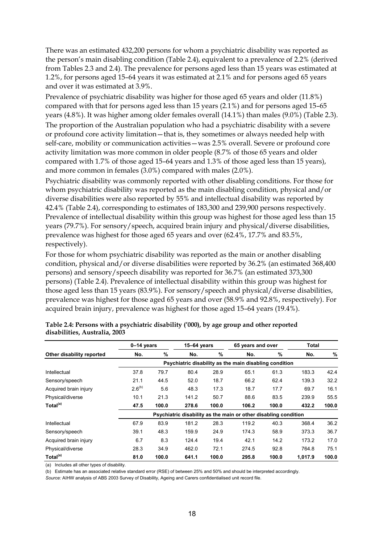There was an estimated 432,200 persons for whom a psychiatric disability was reported as the person's main disabling condition (Table 2.4), equivalent to a prevalence of 2.2% (derived from Tables 2.3 and 2.4). The prevalence for persons aged less than 15 years was estimated at 1.2%, for persons aged 15–64 years it was estimated at 2.1% and for persons aged 65 years and over it was estimated at 3.9%.

Prevalence of psychiatric disability was higher for those aged 65 years and older (11.8%) compared with that for persons aged less than 15 years (2.1%) and for persons aged 15–65 years (4.8%). It was higher among older females overall (14.1%) than males (9.0%) (Table 2.3). The proportion of the Australian population who had a psychiatric disability with a severe or profound core activity limitation—that is, they sometimes or always needed help with self-care, mobility or communication activities—was 2.5% overall. Severe or profound core activity limitation was more common in older people (8.7% of those 65 years and older compared with 1.7% of those aged 15–64 years and 1.3% of those aged less than 15 years), and more common in females (3.0%) compared with males (2.0%).

Psychiatric disability was commonly reported with other disabling conditions. For those for whom psychiatric disability was reported as the main disabling condition, physical and/or diverse disabilities were also reported by 55% and intellectual disability was reported by 42.4% (Table 2.4), corresponding to estimates of 183,300 and 239,900 persons respectively. Prevalence of intellectual disability within this group was highest for those aged less than 15 years (79.7%). For sensory/speech, acquired brain injury and physical/diverse disabilities, prevalence was highest for those aged 65 years and over (62.4%, 17.7% and 83.5%, respectively).

For those for whom psychiatric disability was reported as the main or another disabling condition, physical and/or diverse disabilities were reported by 36.2% (an estimated 368,400 persons) and sensory/speech disability was reported for 36.7% (an estimated 373,300 persons) (Table 2.4). Prevalence of intellectual disability within this group was highest for those aged less than 15 years (83.9%). For sensory/speech and physical/diverse disabilities, prevalence was highest for those aged 65 years and over (58.9% and 92.8%, respectively). For acquired brain injury, prevalence was highest for those aged 15–64 years (19.4%).

|                           | $0-14$ years                                                    |       | $15-64$ years |       | 65 years and over |       | <b>Total</b> |       |  |
|---------------------------|-----------------------------------------------------------------|-------|---------------|-------|-------------------|-------|--------------|-------|--|
| Other disability reported | No.                                                             | %     | No.           | $\%$  | No.               | $\%$  | No.          | %     |  |
|                           | Psychiatric disability as the main disabling condition          |       |               |       |                   |       |              |       |  |
| Intellectual              | 37.8                                                            | 79.7  | 80.4          | 28.9  | 65.1              | 61.3  | 183.3        | 42.4  |  |
| Sensory/speech            | 21.1                                                            | 44.5  | 52.0          | 18.7  | 66.2              | 62.4  | 139.3        | 32.2  |  |
| Acquired brain injury     | $2.6^{(b)}$                                                     | 5.6   | 48.3          | 17.3  | 18.7              | 17.7  | 69.7         | 16.1  |  |
| Physical/diverse          | 10.1                                                            | 21.3  | 141.2         | 50.7  | 88.6              | 83.5  | 239.9        | 55.5  |  |
| Total <sup>(a)</sup>      | 47.5                                                            | 100.0 | 278.6         | 100.0 | 106.2             | 100.0 | 432.2        | 100.0 |  |
|                           | Psychiatric disability as the main or other disabling condition |       |               |       |                   |       |              |       |  |
| Intellectual              | 67.9                                                            | 83.9  | 181.2         | 28.3  | 119.2             | 40.3  | 368.4        | 36.2  |  |
| Sensory/speech            | 39.1                                                            | 48.3  | 159.9         | 24.9  | 174.3             | 58.9  | 373.3        | 36.7  |  |
| Acquired brain injury     | 6.7                                                             | 8.3   | 124.4         | 19.4  | 42.1              | 14.2  | 173.2        | 17.0  |  |
| Physical/diverse          | 28.3                                                            | 34.9  | 462.0         | 72.1  | 274.5             | 92.8  | 764.8        | 75.1  |  |
| Total <sup>(a)</sup>      | 81.0                                                            | 100.0 | 641.1         | 100.0 | 295.8             | 100.0 | 1.017.9      | 100.0 |  |

**Table 2.4: Persons with a psychiatric disability ('000), by age group and other reported disabilities, Australia, 2003**

(a) Includes all other types of disability.

(b) Estimate has an associated relative standard error (RSE) of between 25% and 50% and should be interpreted accordingly.

*Source:* AIHW analysis of ABS 2003 Survey of Disability, Ageing and Carers confidentialised unit record file.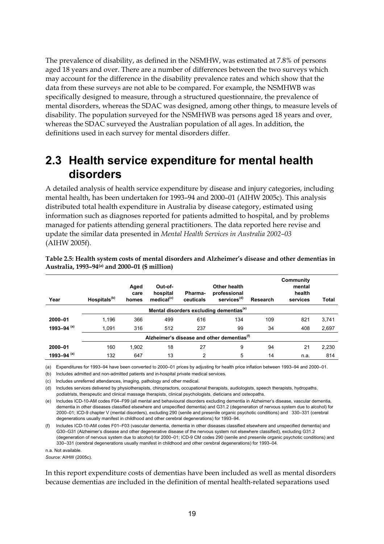The prevalence of disability, as defined in the NSMHW, was estimated at 7.8% of persons aged 18 years and over. There are a number of differences between the two surveys which may account for the difference in the disability prevalence rates and which show that the data from these surveys are not able to be compared. For example, the NSMHWB was specifically designed to measure, through a structured questionnaire, the prevalence of mental disorders, whereas the SDAC was designed, among other things, to measure levels of disability. The population surveyed for the NSMHWB was persons aged 18 years and over, whereas the SDAC surveyed the Australian population of all ages. In addition, the definitions used in each survey for mental disorders differ.

### **2.3 Health service expenditure for mental health disorders**

A detailed analysis of health service expenditure by disease and injury categories, including mental health, has been undertaken for 1993–94 and 2000–01 (AIHW 2005c). This analysis distributed total health expenditure in Australia by disease category, estimated using information such as diagnoses reported for patients admitted to hospital, and by problems managed for patients attending general practitioners. The data reported here revise and update the similar data presented in *Mental Health Services in Australia 2002–03* (AIHW 2005f).

| Year          | Hospitals <sup>(b)</sup>                               | Aged<br>care<br>homes | Out-of-<br>hospital<br>medical <sup>(c)</sup> | Pharma-<br>ceuticals | Other health<br>professional<br>services <sup>(d)</sup> | Research | Community<br>mental<br>health<br>services | <b>Total</b> |  |  |  |
|---------------|--------------------------------------------------------|-----------------------|-----------------------------------------------|----------------------|---------------------------------------------------------|----------|-------------------------------------------|--------------|--|--|--|
|               | Mental disorders excluding dementias <sup>(e)</sup>    |                       |                                               |                      |                                                         |          |                                           |              |  |  |  |
| 2000-01       | 1,196                                                  | 366                   | 499                                           | 616                  | 134                                                     | 109      | 821                                       | 3,741        |  |  |  |
| 1993-94 $(a)$ | 1,091                                                  | 316                   | 512                                           | 237                  | 99                                                      | 34       | 408                                       | 2,697        |  |  |  |
|               | Alzheimer's disease and other dementias <sup>(1)</sup> |                       |                                               |                      |                                                         |          |                                           |              |  |  |  |
| 2000-01       | 160                                                    | 1.902                 | 18                                            | 27                   | 9                                                       | 94       | 21                                        | 2,230        |  |  |  |
| 1993-94 $(a)$ | 132                                                    | 647                   | 13                                            | 2                    | 5                                                       | 14       | n.a.                                      | 814          |  |  |  |

**Table 2.5: Health system costs of mental disorders and Alzheimer's disease and other dementias in Australia, 1993–94(a) and 2000–01 (\$ million)** 

(a) Expenditures for 1993–94 have been converted to 2000–01 prices by adjusting for health price inflation between 1993–94 and 2000–01.

(b) Includes admitted and non-admitted patients and in-hospital private medical services.

(c) Includes unreferred attendances, imaging, pathology and other medical.

(d) Includes services delivered by physiotherapists, chiropractors, occupational therapists, audiologists, speech therapists, hydropaths, podiatrists, therapeutic and clinical massage therapists, clinical psychologists, dieticians and osteopaths.

(e) Includes ICD-10-AM codes F04–F99 (all mental and behavioural disorders excluding dementia in Alzheimer's disease, vascular dementia, dementia in other diseases classified elsewhere and unspecified dementia) and G31.2 (degeneration of nervous system due to alcohol) for 2000–01; ICD-9 chapter V (mental disorders), excluding 290 (senile and presenile organic psychotic conditions) and 330–331 (cerebral degenerations usually manifest in childhood and other cerebral degenerations) for 1993–94.

(f) Includes ICD-10-AM codes F01–F03 (vascular dementia, dementia in other diseases classified elsewhere and unspecified dementia) and G30–G31 (Alzheimer's disease and other degenerative disease of the nervous system not elsewhere classified), excluding G31.2 (degeneration of nervous system due to alcohol) for 2000–01; ICD-9 CM codes 290 (senile and presenile organic psychotic conditions) and 330–331 (cerebral degenerations usually manifest in childhood and other cerebral degenerations) for 1993–04.

n.a. Not available.

*Source:* AIHW (2005c).

In this report expenditure costs of dementias have been included as well as mental disorders because dementias are included in the definition of mental health-related separations used